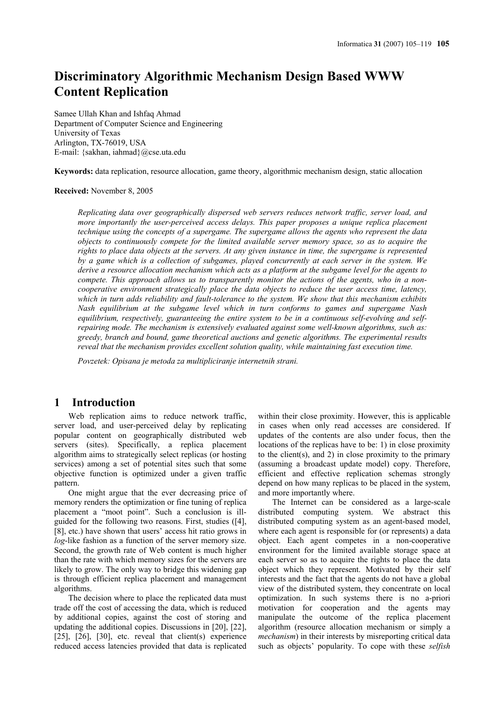# **Discriminatory Algorithmic Mechanism Design Based WWW Content Replication**

Samee Ullah Khan and Ishfaq Ahmad Department of Computer Science and Engineering University of Texas Arlington, TX-76019, USA E-mail: {sakhan, iahmad}@cse.uta.edu

**Keywords:** data replication, resource allocation, game theory, algorithmic mechanism design, static allocation

#### **Received:** November 8, 2005

*Replicating data over geographically dispersed web servers reduces network traffic, server load, and more importantly the user-perceived access delays. This paper proposes a unique replica placement technique using the concepts of a supergame. The supergame allows the agents who represent the data objects to continuously compete for the limited available server memory space, so as to acquire the rights to place data objects at the servers. At any given instance in time, the supergame is represented by a game which is a collection of subgames, played concurrently at each server in the system. We derive a resource allocation mechanism which acts as a platform at the subgame level for the agents to compete. This approach allows us to transparently monitor the actions of the agents, who in a noncooperative environment strategically place the data objects to reduce the user access time, latency, which in turn adds reliability and fault-tolerance to the system. We show that this mechanism exhibits Nash equilibrium at the subgame level which in turn conforms to games and supergame Nash equilibrium, respectively, guaranteeing the entire system to be in a continuous self-evolving and selfrepairing mode. The mechanism is extensively evaluated against some well-known algorithms, such as: greedy, branch and bound, game theoretical auctions and genetic algorithms. The experimental results reveal that the mechanism provides excellent solution quality, while maintaining fast execution time.* 

*Povzetek: Opisana je metoda za multipliciranje internetnih strani.* 

# **1 Introduction**

Web replication aims to reduce network traffic, server load, and user-perceived delay by replicating popular content on geographically distributed web servers (sites). Specifically, a replica placement algorithm aims to strategically select replicas (or hosting services) among a set of potential sites such that some objective function is optimized under a given traffic pattern.

One might argue that the ever decreasing price of memory renders the optimization or fine tuning of replica placement a "moot point". Such a conclusion is illguided for the following two reasons. First, studies ([4], [8], etc.) have shown that users' access hit ratio grows in *log*-like fashion as a function of the server memory size. Second, the growth rate of Web content is much higher than the rate with which memory sizes for the servers are likely to grow. The only way to bridge this widening gap is through efficient replica placement and management algorithms.

The decision where to place the replicated data must trade off the cost of accessing the data, which is reduced by additional copies, against the cost of storing and updating the additional copies. Discussions in [20], [22], [25],  $[26]$ ,  $[30]$ , etc. reveal that client(s) experience reduced access latencies provided that data is replicated within their close proximity. However, this is applicable in cases when only read accesses are considered. If updates of the contents are also under focus, then the locations of the replicas have to be: 1) in close proximity to the client(s), and  $2$ ) in close proximity to the primary (assuming a broadcast update model) copy. Therefore, efficient and effective replication schemas strongly depend on how many replicas to be placed in the system, and more importantly where.

The Internet can be considered as a large-scale distributed computing system. We abstract this distributed computing system as an agent-based model, where each agent is responsible for (or represents) a data object. Each agent competes in a non-cooperative environment for the limited available storage space at each server so as to acquire the rights to place the data object which they represent. Motivated by their self interests and the fact that the agents do not have a global view of the distributed system, they concentrate on local optimization. In such systems there is no a-priori motivation for cooperation and the agents may manipulate the outcome of the replica placement algorithm (resource allocation mechanism or simply a *mechanism*) in their interests by misreporting critical data such as objects' popularity. To cope with these *selfish*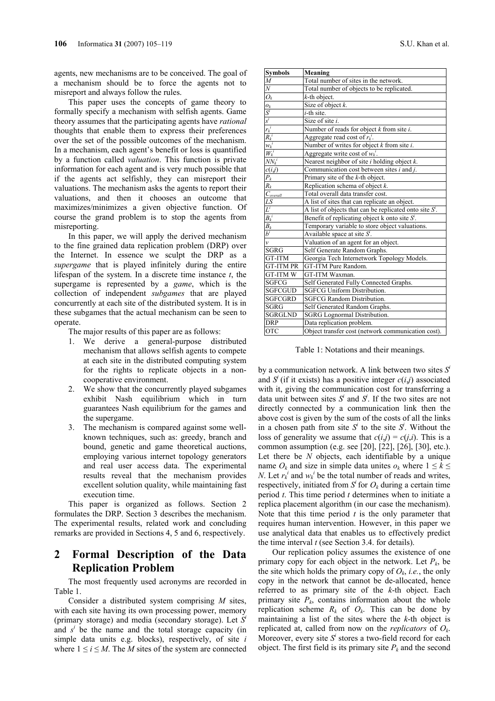agents, new mechanisms are to be conceived. The goal of a mechanism should be to force the agents not to misreport and always follow the rules.

This paper uses the concepts of game theory to formally specify a mechanism with selfish agents. Game theory assumes that the participating agents have *rational* thoughts that enable them to express their preferences over the set of the possible outcomes of the mechanism. In a mechanism, each agent's benefit or loss is quantified by a function called *valuation*. This function is private information for each agent and is very much possible that if the agents act selfishly, they can misreport their valuations. The mechanism asks the agents to report their valuations, and then it chooses an outcome that maximizes/minimizes a given objective function. Of course the grand problem is to stop the agents from misreporting.

In this paper, we will apply the derived mechanism to the fine grained data replication problem (DRP) over the Internet. In essence we sculpt the DRP as a *supergame* that is played infinitely during the entire lifespan of the system. In a discrete time instance *t*, the supergame is represented by a *game*, which is the collection of independent *subgames* that are played concurrently at each site of the distributed system. It is in these subgames that the actual mechanism can be seen to operate.

The major results of this paper are as follows:

- 1. We derive a general-purpose distributed mechanism that allows selfish agents to compete at each site in the distributed computing system for the rights to replicate objects in a noncooperative environment.
- 2. We show that the concurrently played subgames exhibit Nash equilibrium which in turn guarantees Nash equilibrium for the games and the supergame.
- 3. The mechanism is compared against some wellknown techniques, such as: greedy, branch and bound, genetic and game theoretical auctions, employing various internet topology generators and real user access data. The experimental results reveal that the mechanism provides excellent solution quality, while maintaining fast execution time.

This paper is organized as follows. Section 2 formulates the DRP. Section 3 describes the mechanism. The experimental results, related work and concluding remarks are provided in Sections 4, 5 and 6, respectively.

# **2 Formal Description of the Data Replication Problem**

The most frequently used acronyms are recorded in Table 1.

Consider a distributed system comprising *M* sites, with each site having its own processing power, memory (primary storage) and media (secondary storage). Let *S<sup>i</sup>* and  $s^i$  be the name and the total storage capacity (in simple data units e.g. blocks), respectively, of site *i* where  $1 \le i \le M$ . The *M* sites of the system are connected

| <b>Symbols</b>                             | Meaning                                                    |
|--------------------------------------------|------------------------------------------------------------|
| $\overline{M}$                             | Total number of sites in the network.                      |
| $\overline{N}$                             | Total number of objects to be replicated.                  |
| $O_k$                                      | $k$ -th object.                                            |
|                                            | Size of object $k$ .                                       |
|                                            | $i$ -th site.                                              |
|                                            | Size of site i.                                            |
|                                            | Number of reads for object $k$ from site $i$ .             |
| $\frac{o_k}{S^i}$<br>$\frac{r_k^i}{R_k^i}$ | Aggregate read cost of $r_k^i$ .                           |
| $w_k^{\phantom{1}i}$                       | Number of writes for object $k$ from site $i$ .            |
| $W_k^i$                                    | Aggregate write cost of $w_k^i$ .                          |
| $\overline{NN_k}^i$                        | Nearest neighbor of site $i$ holding object $k$ .          |
| c(i,j)                                     | Communication cost between sites $i$ and $j$ .             |
| $P_{k}$                                    | Primary site of the $k$ -th object.                        |
| $\overline{R_k}$                           | Replication schema of object $k$ .                         |
| $C_{overall}$                              | Total overall data transfer cost.                          |
|                                            | A list of sites that can replicate an object.              |
| $\frac{LS}{L^i}}{B_k}$                     | A list of objects that can be replicated onto site $S^i$ . |
|                                            | Benefit of replicating object $k$ onto site $S'$ .         |
|                                            | Temporary variable to store object valuations.             |
| $b^i$                                      | Available space at site $S^i$ .                            |
| $\mathcal{V}$                              | Valuation of an agent for an object.                       |
| SGRG                                       | Self Generate Random Graphs.                               |
| <b>GT-ITM</b>                              | Georgia Tech Internetwork Topology Models.                 |
| <b>GT-ITM PR</b>                           | GT-ITM Pure Random.                                        |
| <b>GT-ITM W</b>                            | GT-ITM Waxman.                                             |
| <b>SGFCG</b>                               | Self Generated Fully Connected Graphs.                     |
| <b>SGFCGUD</b>                             | <b>SGFCG Uniform Distribution.</b>                         |
| <b>SGFCGRD</b>                             | <b>SGFCG Random Distribution.</b>                          |
| <b>SGRG</b>                                | Self Generated Random Graphs.                              |
| <b>SGRGLND</b>                             | <b>SGRG</b> Lognormal Distribution.                        |
| <b>DRP</b>                                 | Data replication problem.                                  |
| <b>OTC</b>                                 | Object transfer cost (network communication cost).         |

Table 1: Notations and their meanings.

by a communication network. A link between two sites  $S^i$ and  $S^j$  (if it exists) has a positive integer  $c(i,j)$  associated with it, giving the communication cost for transferring a data unit between sites  $S^i$  and  $S^j$ . If the two sites are not directly connected by a communication link then the above cost is given by the sum of the costs of all the links in a chosen path from site  $S^i$  to the site  $S^j$ . Without the loss of generality we assume that  $c(i,j) = c(j,i)$ . This is a common assumption (e.g. see [20], [22], [26], [30], etc.). Let there be *N* objects, each identifiable by a unique name  $O_k$  and size in simple data unites  $o_k$  where  $1 \leq k \leq$ *N*. Let  $r_k^i$  and  $w_k^i$  be the total number of reads and writes, respectively, initiated from  $S<sup>i</sup>$  for  $O<sub>k</sub>$  during a certain time period *t*. This time period *t* determines when to initiate a replica placement algorithm (in our case the mechanism). Note that this time period  $t$  is the only parameter that requires human intervention. However, in this paper we use analytical data that enables us to effectively predict the time interval *t* (see Section 3.4. for details).

Our replication policy assumes the existence of one primary copy for each object in the network. Let  $P_k$ , be the site which holds the primary copy of  $O_k$ , *i.e.*, the only copy in the network that cannot be de-allocated, hence referred to as primary site of the *k*-th object. Each primary site  $P_k$ , contains information about the whole replication scheme  $R_k$  of  $O_k$ . This can be done by maintaining a list of the sites where the *k*-th object is replicated at, called from now on the *replicators* of *Ok*. Moreover, every site  $S^i$  stores a two-field record for each object. The first field is its primary site  $P_k$  and the second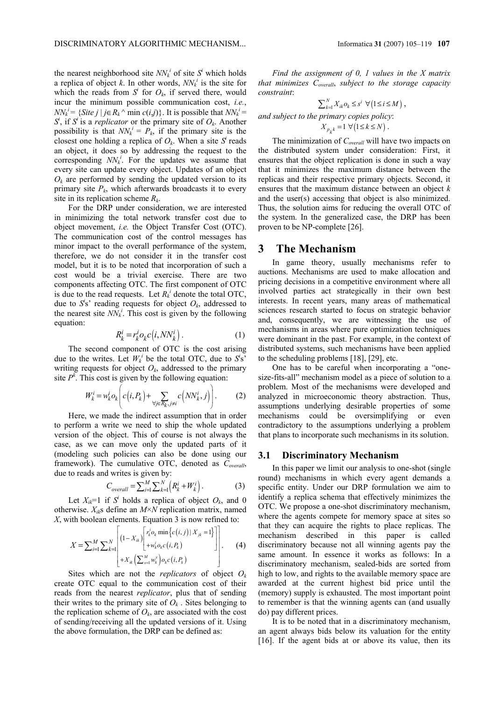the nearest neighborhood site  $NN_k^i$  of site  $S^i$  which holds a replica of object *k*. In other words,  $NN_k^i$  is the site for which the reads from  $S^i$  for  $O_k$ , if served there, would incur the minimum possible communication cost, *i.e.*, *NN*<sup>*i*</sup> = {*Site j* | *j*∈*R<sub>k</sub>* ^ min *c*(*i,j*)}. It is possible that *NN*<sup>*i*</sup> =  $S^i$ , if  $S^i$  is a *replicator* or the primary site of  $O_k$ . Another possibility is that  $NN_k^i = P_k$ , if the primary site is the closest one holding a replica of  $O_k$ . When a site  $S^i$  reads an object, it does so by addressing the request to the corresponding  $NN_k^i$ . For the updates we assume that every site can update every object. Updates of an object  $O_k$  are performed by sending the updated version to its primary site  $P_k$ , which afterwards broadcasts it to every site in its replication scheme *Rk*.

For the DRP under consideration, we are interested in minimizing the total network transfer cost due to object movement, *i.e.* the Object Transfer Cost (OTC). The communication cost of the control messages has minor impact to the overall performance of the system, therefore, we do not consider it in the transfer cost model, but it is to be noted that incorporation of such a cost would be a trivial exercise. There are two components affecting OTC. The first component of OTC is due to the read requests. Let  $R_k^i$  denote the total OTC, due to  $S^i$ s' reading requests for object  $O_k$ , addressed to the nearest site  $NN_k^i$ . This cost is given by the following equation:

$$
R_k^i = r_k^i o_k c(i, NN_k^i).
$$
 (1)

The second component of OTC is the cost arising due to the writes. Let  $W_k^i$  be the total OTC, due to  $S^i S^i$ writing requests for object  $O_k$ , addressed to the primary site  $P^k$ . This cost is given by the following equation:

$$
W_k^i = w_k^i o_k \left( c(i, P_k) + \sum_{\forall j \in R_k, j \neq i} c(NN_k^i, j) \right). \tag{2}
$$

Here, we made the indirect assumption that in order to perform a write we need to ship the whole updated version of the object. This of course is not always the case, as we can move only the updated parts of it (modeling such policies can also be done using our framework). The cumulative OTC, denoted as *Coverall*, due to reads and writes is given by:

$$
C_{\text{overall}} = \sum_{i=1}^{M} \sum_{k=1}^{N} \left( R_k^i + W_k^i \right). \tag{3}
$$

Let  $X_{ik}=1$  if  $S^i$  holds a replica of object  $O_k$ , and 0 otherwise. *Xik*s define an *M*×*N* replication matrix, named *X*, with boolean elements. Equation 3 is now refined to:

$$
X = \sum_{i=1}^{M} \sum_{k=1}^{N} \left[ \frac{(1 - X_{ik}) \left[ r_k^i o_k \min \{ c(i, j) | X_{jk} = 1 \} \right]}{+ w_k^i o_k c(i, P_k)} \right].
$$
 (4)

Sites which are not the *replicators* of object *Ok* create OTC equal to the communication cost of their reads from the nearest *replicator*, plus that of sending their writes to the primary site of  $O_k$ . Sites belonging to the replication scheme of  $O_k$ , are associated with the cost of sending/receiving all the updated versions of it. Using the above formulation, the DRP can be defined as:

*Find the assignment of 0, 1 values in the X matrix that minimizes Coverall*, *subject to the storage capacity constraint*:

$$
\sum_{k=1}^N X_{ik} o_k \le s^i \ \forall \big(1 \le i \le M\big)\,,
$$

*and subject to the primary copies policy*:

$$
X_{p_k k} = 1 \ \forall \bigl( 1 \leq k \leq N \bigr) \ .
$$

The minimization of *Coverall* will have two impacts on the distributed system under consideration: First, it ensures that the object replication is done in such a way that it minimizes the maximum distance between the replicas and their respective primary objects. Second, it ensures that the maximum distance between an object *k* and the user(s) accessing that object is also minimized. Thus, the solution aims for reducing the overall OTC of the system. In the generalized case, the DRP has been proven to be NP-complete [26].

# **3 The Mechanism**

In game theory, usually mechanisms refer to auctions. Mechanisms are used to make allocation and pricing decisions in a competitive environment where all involved parties act strategically in their own best interests. In recent years, many areas of mathematical sciences research started to focus on strategic behavior and, consequently, we are witnessing the use of mechanisms in areas where pure optimization techniques were dominant in the past. For example, in the context of distributed systems, such mechanisms have been applied to the scheduling problems [18], [29], etc.

One has to be careful when incorporating a "onesize-fits-all" mechanism model as a piece of solution to a problem. Most of the mechanisms were developed and analyzed in microeconomic theory abstraction. Thus, assumptions underlying desirable properties of some mechanisms could be oversimplifying or even contradictory to the assumptions underlying a problem that plans to incorporate such mechanisms in its solution.

#### **3.1 Discriminatory Mechanism**

In this paper we limit our analysis to one-shot (single round) mechanisms in which every agent demands a specific entity. Under our DRP formulation we aim to identify a replica schema that effectively minimizes the OTC. We propose a one-shot discriminatory mechanism, where the agents compete for memory space at sites so that they can acquire the rights to place replicas. The mechanism described in this paper is called discriminatory because not all winning agents pay the same amount. In essence it works as follows: In a discriminatory mechanism, sealed-bids are sorted from high to low, and rights to the available memory space are awarded at the current highest bid price until the (memory) supply is exhausted. The most important point to remember is that the winning agents can (and usually do) pay different prices.

It is to be noted that in a discriminatory mechanism, an agent always bids below its valuation for the entity [16]. If the agent bids at or above its value, then its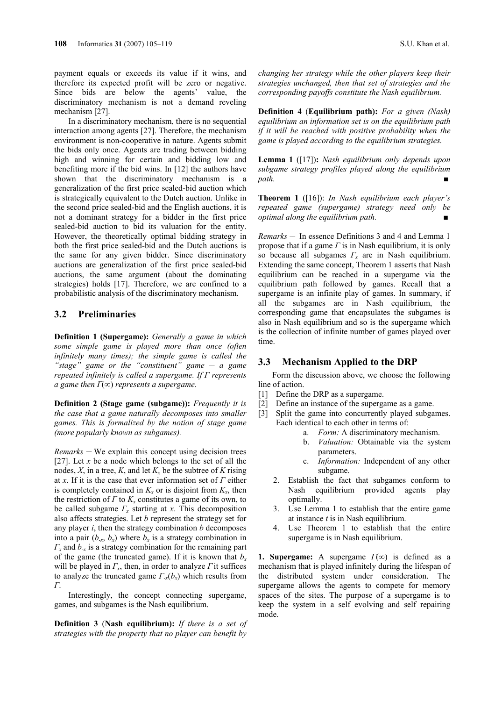payment equals or exceeds its value if it wins, and therefore its expected profit will be zero or negative. Since bids are below the agents' value, the discriminatory mechanism is not a demand reveling mechanism [27].

In a discriminatory mechanism, there is no sequential interaction among agents [27]. Therefore, the mechanism environment is non-cooperative in nature. Agents submit the bids only once. Agents are trading between bidding high and winning for certain and bidding low and benefiting more if the bid wins. In [12] the authors have shown that the discriminatory mechanism is a generalization of the first price sealed-bid auction which is strategically equivalent to the Dutch auction. Unlike in the second price sealed-bid and the English auctions, it is not a dominant strategy for a bidder in the first price sealed-bid auction to bid its valuation for the entity. However, the theoretically optimal bidding strategy in both the first price sealed-bid and the Dutch auctions is the same for any given bidder. Since discriminatory auctions are generalization of the first price sealed-bid auctions, the same argument (about the dominating strategies) holds [17]. Therefore, we are confined to a probabilistic analysis of the discriminatory mechanism.

# **3.2 Preliminaries**

**Definition 1 (Supergame):** *Generally a game in which some simple game is played more than once (often infinitely many times); the simple game is called the "stage" game or the "constituent" game \_\_ a game repeated infinitely is called a supergame. If Γ represents a game then Γ*(*∞*) *represents a supergame.* 

**Definition 2 (Stage game (subgame)):** *Frequently it is the case that a game naturally decomposes into smaller games. This is formalized by the notion of stage game (more popularly known as subgames).* 

*Remarks*  $-$  We explain this concept using decision trees [27]. Let *x* be a node which belongs to the set of all the nodes,  $X$ , in a tree,  $K$ , and let  $K<sub>x</sub>$  be the subtree of  $K$  rising at *x*. If it is the case that ever information set of *Γ* either is completely contained in  $K_x$  or is disjoint from  $K_x$ , then the restriction of  $\Gamma$  to  $K_{x}$  constitutes a game of its own, to be called subgame *Γx* starting at *x*. This decomposition also affects strategies. Let *b* represent the strategy set for any player *i*, then the strategy combination *b* decomposes into a pair  $(b_{-x}, b_x)$  where  $b_x$  is a strategy combination in *Γx* and *b-x* is a strategy combination for the remaining part of the game (the truncated game). If it is known that  $b_x$ will be played in *Γx*, then, in order to analyze *Γ* it suffices to analyze the truncated game  $\Gamma_x(b_x)$  which results from *Γ*.

Interestingly, the concept connecting supergame, games, and subgames is the Nash equilibrium.

**Definition 3** (**Nash equilibrium):** *If there is a set of strategies with the property that no player can benefit by* 

*changing her strategy while the other players keep their strategies unchanged, then that set of strategies and the corresponding payoffs constitute the Nash equilibrium.*

**Definition 4** (**Equilibrium path):** *For a given (Nash) equilibrium an information set is on the equilibrium path if it will be reached with positive probability when the game is played according to the equilibrium strategies.* 

**Lemma 1** ([17])**:** *Nash equilibrium only depends upon subgame strategy profiles played along the equilibrium path.* ■

**Theorem 1** ([16]): *In Nash equilibrium each player's repeated game (supergame) strategy need only be optimal along the equilibrium path.* 

*Remarks \_\_* In essence Definitions 3 and 4 and Lemma 1 propose that if a game *Γ* is in Nash equilibrium, it is only so because all subgames *Γx* are in Nash equilibrium. Extending the same concept, Theorem 1 asserts that Nash equilibrium can be reached in a supergame via the equilibrium path followed by games. Recall that a supergame is an infinite play of games. In summary, if all the subgames are in Nash equilibrium, the corresponding game that encapsulates the subgames is also in Nash equilibrium and so is the supergame which is the collection of infinite number of games played over time.

#### **3.3 Mechanism Applied to the DRP**

Form the discussion above, we choose the following line of action.

- [1] Define the DRP as a supergame.
- [2] Define an instance of the supergame as a game.
- [3] Split the game into concurrently played subgames. Each identical to each other in terms of:
	- a. *Form:* A discriminatory mechanism.
		- b. *Valuation:* Obtainable via the system parameters.
	- c. *Information:* Independent of any other subgame.
	- 2. Establish the fact that subgames conform to Nash equilibrium provided agents play optimally.
	- 3. Use Lemma 1 to establish that the entire game at instance *t* is in Nash equilibrium.
	- 4. Use Theorem 1 to establish that the entire supergame is in Nash equilibrium.

**1. Supergame:** A supergame *Γ*(∞) is defined as a mechanism that is played infinitely during the lifespan of the distributed system under consideration. The supergame allows the agents to compete for memory spaces of the sites. The purpose of a supergame is to keep the system in a self evolving and self repairing mode.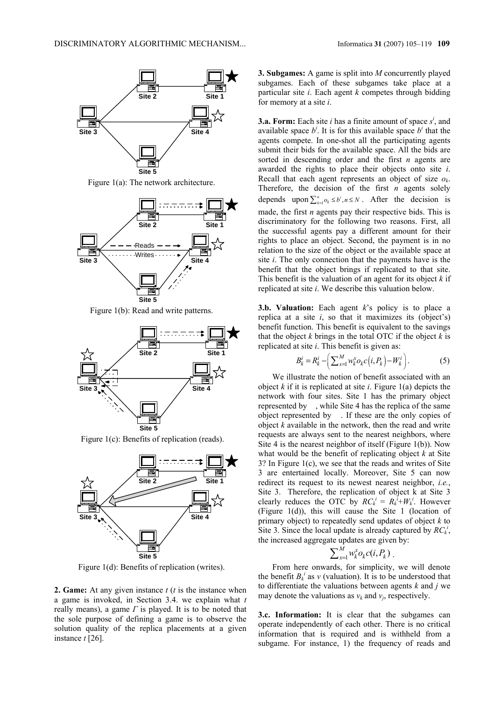

Figure 1(a): The network architecture.



Figure 1(b): Read and write patterns.



Figure 1(c): Benefits of replication (reads).



Figure 1(d): Benefits of replication (writes).

**2. Game:** At any given instance *t* (*t* is the instance when a game is invoked, in Section 3.4. we explain what *t* really means), a game *Γ* is played. It is to be noted that the sole purpose of defining a game is to observe the solution quality of the replica placements at a given instance *t* [26].

**3. Subgames:** A game is split into *M* concurrently played subgames. Each of these subgames take place at a particular site *i*. Each agent *k* competes through bidding for memory at a site *i*.

**3.a. Form:** Each site *i* has a finite amount of space  $s^i$ , and available space  $b^i$ . It is for this available space  $b^i$  that the agents compete. In one-shot all the participating agents submit their bids for the available space. All the bids are sorted in descending order and the first *n* agents are awarded the rights to place their objects onto site *i*. Recall that each agent represents an object of size *ok*. Therefore, the decision of the first *n* agents solely depends upon  $\sum_{k=1}^{n} o_k \le b^i, n \le N$ . After the decision is made, the first *n* agents pay their respective bids. This is discriminatory for the following two reasons. First, all the successful agents pay a different amount for their rights to place an object. Second, the payment is in no relation to the size of the object or the available space at site *i*. The only connection that the payments have is the benefit that the object brings if replicated to that site. This benefit is the valuation of an agent for its object *k* if replicated at site *i*. We describe this valuation below.

**3.b. Valuation:** Each agent *k*'s policy is to place a replica at a site  $i$ , so that it maximizes its (object's) benefit function. This benefit is equivalent to the savings that the object  $k$  brings in the total OTC if the object  $k$  is replicated at site *i*. This benefit is given as:

$$
B_k^i = R_k^i - \left(\sum_{k=1}^M w_k^x o_k c(i, P_k) - W_k^i\right).
$$
 (5)

We illustrate the notion of benefit associated with an object *k* if it is replicated at site *i*. Figure 1(a) depicts the network with four sites. Site 1 has the primary object represented by , while Site 4 has the replica of the same object represented by . If these are the only copies of object *k* available in the network, then the read and write requests are always sent to the nearest neighbors, where Site 4 is the nearest neighbor of itself (Figure 1(b)). Now what would be the benefit of replicating object *k* at Site 3? In Figure 1(c), we see that the reads and writes of Site 3 are entertained locally. Moreover, Site 5 can now redirect its request to its newest nearest neighbor, *i.e.*, Site 3. Therefore, the replication of object k at Site 3 clearly reduces the OTC by  $RC_k^i = R_k^i + W_k^i$ . However (Figure 1(d)), this will cause the Site 1 (location of primary object) to repeatedly send updates of object *k* to Site 3. Since the local update is already captured by  $RC_k^i$ , the increased aggregate updates are given by:

$$
\sum_{x=1}^M w_k^x o_k c(i, P_k).
$$

From here onwards, for simplicity, we will denote the benefit  $B_k^i$  as  $v$  (valuation). It is to be understood that to differentiate the valuations between agents *k* and *j* we may denote the valuations as  $v_k$  and  $v_j$ , respectively.

**3.c. Information:** It is clear that the subgames can operate independently of each other. There is no critical information that is required and is withheld from a subgame. For instance, 1) the frequency of reads and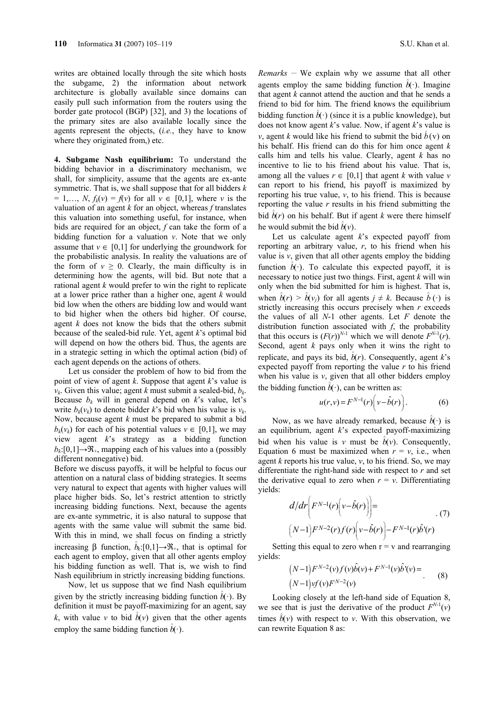writes are obtained locally through the site which hosts the subgame, 2) the information about network architecture is globally available since domains can easily pull such information from the routers using the border gate protocol (BGP) [32], and 3) the locations of the primary sites are also available locally since the agents represent the objects, (*i.e.*, they have to know where they originated from,) etc.

**4. Subgame Nash equilibrium:** To understand the bidding behavior in a discriminatory mechanism, we shall, for simplicity, assume that the agents are ex-ante symmetric. That is, we shall suppose that for all bidders *k*   $= 1,..., N$ ,  $f_k(v) = f(v)$  for all  $v \in [0,1]$ , where *v* is the valuation of an agent *k* for an object, whereas *f* translates this valuation into something useful, for instance, when bids are required for an object, *f* can take the form of a bidding function for a valuation *v*. Note that we only assume that  $v \in [0,1]$  for underlying the groundwork for the probabilistic analysis. In reality the valuations are of the form of  $v \ge 0$ . Clearly, the main difficulty is in determining how the agents, will bid. But note that a rational agent *k* would prefer to win the right to replicate at a lower price rather than a higher one, agent *k* would bid low when the others are bidding low and would want to bid higher when the others bid higher. Of course, agent *k* does not know the bids that the others submit because of the sealed-bid rule. Yet, agent *k*'s optimal bid will depend on how the others bid. Thus, the agents are in a strategic setting in which the optimal action (bid) of each agent depends on the actions of others.

Let us consider the problem of how to bid from the point of view of agent *k*. Suppose that agent *k*'s value is  $v_k$ . Given this value; agent *k* must submit a sealed-bid,  $b_k$ . Because  $b_k$  will in general depend on  $k$ 's value, let's write  $b_k(v_k)$  to denote bidder k's bid when his value is  $v_k$ . Now, because agent *k* must be prepared to submit a bid  $b_k(v_k)$  for each of his potential values  $v \in [0,1]$ , we may view agent *k*'s strategy as a bidding function  $b_k$ :[0,1] $\rightarrow \mathcal{R}_+$ , mapping each of his values into a (possibly different nonnegative) bid.

Before we discuss payoffs, it will be helpful to focus our attention on a natural class of bidding strategies. It seems very natural to expect that agents with higher values will place higher bids. So, let's restrict attention to strictly increasing bidding functions. Next, because the agents are ex-ante symmetric, it is also natural to suppose that agents with the same value will submit the same bid. With this in mind, we shall focus on finding a strictly increasing β function,  $\hat{b}_k$ :[0,1]→ $\Re$ <sub>+</sub>, that is optimal for each agent to employ, given that all other agents employ his bidding function as well. That is, we wish to find Nash equilibrium in strictly increasing bidding functions.

Now, let us suppose that we find Nash equilibrium given by the strictly increasing bidding function  $\hat{b}(\cdot)$ . By definition it must be payoff-maximizing for an agent, say *k*, with value *v* to bid  $\hat{b}(v)$  given that the other agents employ the same bidding function  $\hat{b}$ <sup>(·</sup>).

*Remarks*  $-$  We explain why we assume that all other agents employ the same bidding function  $\hat{b}(\cdot)$ . Imagine that agent *k* cannot attend the auction and that he sends a friend to bid for him. The friend knows the equilibrium bidding function  $\hat{b}$ <sup>(</sup>) (since it is a public knowledge), but does not know agent *k*'s value. Now, if agent *k*'s value is *v*, agent *k* would like his friend to submit the bid  $\hat{b}(v)$  on his behalf. His friend can do this for him once agent *k* calls him and tells his value. Clearly, agent *k* has no incentive to lie to his friend about his value. That is, among all the values  $r \in [0,1]$  that agent *k* with value *v* can report to his friend, his payoff is maximized by reporting his true value,  $v$ , to his friend. This is because reporting the value *r* results in his friend submitting the bid  $\hat{b}(r)$  on his behalf. But if agent *k* were there himself he would submit the bid  $\hat{b}(v)$ .

Let us calculate agent *k*'s expected payoff from reporting an arbitrary value, *r*, to his friend when his value is  $v$ , given that all other agents employ the bidding function  $\hat{b}(\cdot)$ . To calculate this expected payoff, it is necessary to notice just two things. First, agent *k* will win only when the bid submitted for him is highest. That is, when  $\hat{b}(r) > \hat{b}(v_j)$  for all agents  $j \neq k$ . Because  $\hat{b}(\cdot)$  is strictly increasing this occurs precisely when *r* exceeds the values of all *N*-1 other agents. Let *F* denote the distribution function associated with *f*, the probability that this occurs is  $(F(r))^{N-1}$  which we will denote  $F^{N-1}(r)$ . Second, agent *k* pays only when it wins the right to replicate, and pays its bid,  $\hat{b}(r)$ . Consequently, agent *k*'s expected payoff from reporting the value *r* to his friend when his value is  $v$ , given that all other bidders employ the bidding function  $\hat{b}(\cdot)$ , can be written as:

$$
u(r,v) = F^{N-1}(r)\left(v - \hat{b}(r)\right).
$$
 (6)

Now, as we have already remarked, because  $\hat{b}(\cdot)$  is an equilibrium, agent *k*'s expected payoff-maximizing bid when his value is *v* must be  $\hat{b}(v)$ . Consequently, Equation 6 must be maximized when  $r = v$ , i.e., when agent *k* reports his true value, *v*, to his friend. So, we may differentiate the right-hand side with respect to *r* and set the derivative equal to zero when  $r = v$ . Differentiating yields:

$$
d/dr \bigg( F^{N-1}(r) \bigg( v - \hat{b}(r) \bigg) \bigg) =
$$
  
\n
$$
(N-1) F^{N-2}(r) f(r) \bigg( v - \hat{b}(r) \bigg) - F^{N-1}(r) \hat{b}^{\dagger}(r)
$$
 (7)

Setting this equal to zero when  $r = v$  and rearranging yields:

$$
(N-1)F^{N-2}(v)f(v)\hat{b}(v) + F^{N-1}(v)\hat{b}'(v) =
$$
  
(N-1)vf(v)F<sup>N-2</sup>(v) (8)

Looking closely at the left-hand side of Equation 8, we see that is just the derivative of the product  $F^{N-1}(v)$ times  $\hat{b}(v)$  with respect to *v*. With this observation, we can rewrite Equation 8 as: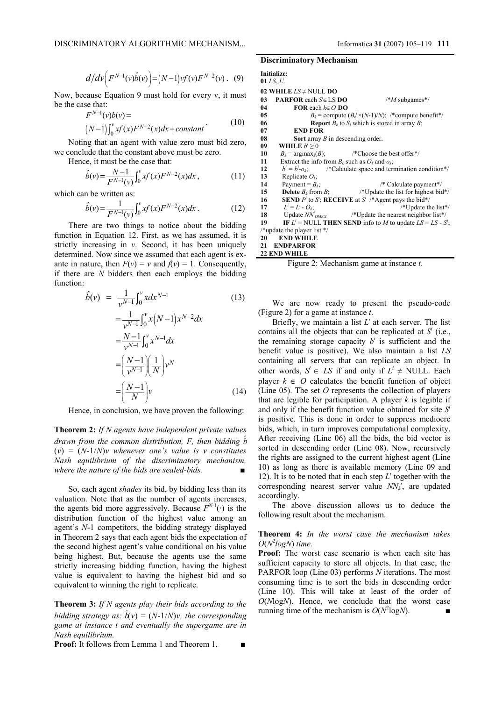$$
d/d\nu\Big(F^{N-1}(\nu)\hat{b}(\nu)\Big) = (N-1)\nu f(\nu)F^{N-2}(\nu). \quad (9)
$$

Now, because Equation 9 must hold for every v, it must be the case that:

$$
F^{N-1}(v)b(v) =
$$
  
\n
$$
(N-1)\int_0^v xf(x)F^{N-2}(x)dx + constant
$$
\n(10)

Noting that an agent with value zero must bid zero, we conclude that the constant above must be zero.

Hence, it must be the case that:

$$
\hat{b}(v) = \frac{N-1}{F^{N-1}(v)} \int_0^v x f(x) F^{N-2}(x) dx , \qquad (11)
$$

which can be written as:

$$
\hat{b}(v) = \frac{1}{F^{N-1}(v)} \int_0^v x f(x) F^{N-2}(x) dx.
$$
 (12)

There are two things to notice about the bidding function in Equation 12. First, as we has assumed, it is strictly increasing in *v*. Second, it has been uniquely determined. Now since we assumed that each agent is exante in nature, then  $F(v) = v$  and  $f(v) = 1$ . Consequently, if there are *N* bidders then each employs the bidding function:

$$
\hat{b}(v) = \frac{1}{v^{N-1}} \int_0^v x dx^{N-1}
$$
\n
$$
= \frac{1}{v^{N-1}} \int_0^v x (N-1) x^{N-2} dx
$$
\n
$$
= \frac{N-1}{v^{N-1}} \int_0^v x^{N-1} dx
$$
\n
$$
= \left(\frac{N-1}{v^{N-1}}\right) \left(\frac{1}{N}\right) v^N
$$
\n
$$
= \left(\frac{N-1}{N}\right) v
$$
\n(14)

Hence, in conclusion, we have proven the following:

**Theorem 2:** *If N agents have independent private values drawn from the common distribution, F, then bidding b^*  $(v) = (N-1/N)v$  whenever one's value is v constitutes *Nash equilibrium of the discriminatory mechanism, where the nature of the bids are sealed-bids.* 

So, each agent *shades* its bid, by bidding less than its valuation. Note that as the number of agents increases, the agents bid more aggressively. Because  $F^{N-1}(\cdot)$  is the distribution function of the highest value among an agent's *N*-1 competitors, the bidding strategy displayed in Theorem 2 says that each agent bids the expectation of the second highest agent's value conditional on his value being highest. But, because the agents use the same strictly increasing bidding function, having the highest value is equivalent to having the highest bid and so equivalent to winning the right to replicate.

**Theorem 3:** *If N agents play their bids according to the bidding strategy as:*  $\hat{b}(v) = (N-1/N)v$ , the corresponding *game at instance t and eventually the supergame are in Nash equilibrium.* 

**Proof:** It follows from Lemma 1 and Theorem 1.

#### **Discriminatory Mechanism**

|    | Initialize:                                           |                                                                                                        |
|----|-------------------------------------------------------|--------------------------------------------------------------------------------------------------------|
|    | 01 LS, $L^{\prime}$ .                                 |                                                                                                        |
|    | 02 WHILE $LS \neq NULL$ DO                            |                                                                                                        |
| 03 | <b>PARFOR</b> each $S \in LS$ <b>DO</b>               | $\frac{*M}{M}$ subgames*/                                                                              |
| 04 | <b>FOR</b> each $k \in O$ <b>DO</b>                   |                                                                                                        |
| 05 |                                                       | $B_k$ = compute $(B_k^i \times (N-1)/N)$ ; /*compute benefit*/                                         |
| 06 |                                                       | <b>Report</b> $B_k$ to $S_i$ which is stored in array $B$ ;                                            |
| 07 | <b>END FOR</b>                                        |                                                                                                        |
| 08 | <b>Sort</b> array $B$ in descending order.            |                                                                                                        |
| 09 | WHILE $b^i \geq 0$                                    |                                                                                                        |
| 10 | $B_k$ = argmax <sub>k</sub> $(B)$ ;                   | /*Choose the best offer*/                                                                              |
| 11 | Extract the info from $B_k$ such as $O_k$ and $o_k$ ; |                                                                                                        |
| 12 |                                                       | $b^i = b^i$ - $o_k$ ; /*Calculate space and termination condition*/                                    |
| 13 | Replicate $O_k$ ;                                     |                                                                                                        |
| 14 | Payment = $B_k$ ;                                     | $/*$ Calculate payment*/                                                                               |
| 15 | <b>Delete</b> $B_k$ from B;                           | /*Update the list for highest bid*/                                                                    |
| 16 |                                                       | <b>SEND</b> P <sup>i</sup> to S <sup>i</sup> ; <b>RECEIVE</b> at S <sup>i</sup> /*Agent pays the bid*/ |
|    | $L^{i} = L^{i} - O_{k}$ ;<br>17                       | /*Update the list*/                                                                                    |
|    |                                                       | 18 Update $NN^i_{OMAX}$ /*Update the nearest neighbor list*/                                           |
| 19 |                                                       | IF $L^i$ = NULL THEN SEND info to <i>M</i> to update $LS = LS - S^2$ ;                                 |
|    | /*update the player list $*/$                         |                                                                                                        |
| 20 | <b>END WHILE</b>                                      |                                                                                                        |
| 21 | <b>ENDPARFOR</b>                                      |                                                                                                        |
|    | <b>22 END WHILE</b>                                   |                                                                                                        |

Figure 2: Mechanism game at instance *t*.

We are now ready to present the pseudo-code (Figure 2) for a game at instance *t*.

Briefly, we maintain a list  $L^i$  at each server. The list contains all the objects that can be replicated at  $S^i$  (i.e., the remaining storage capacity  $b^i$  is sufficient and the benefit value is positive). We also maintain a list *LS* containing all servers that can replicate an object. In other words,  $S^i$  ∈ *LS* if and only if  $L^i$  ≠ NULL. Each player  $k \in O$  calculates the benefit function of object (Line 05). The set *O* represents the collection of players that are legible for participation. A player  $k$  is legible if and only if the benefit function value obtained for site *S<sup>i</sup>* is positive. This is done in order to suppress mediocre bids, which, in turn improves computational complexity. After receiving (Line 06) all the bids, the bid vector is sorted in descending order (Line 08). Now, recursively the rights are assigned to the current highest agent (Line 10) as long as there is available memory (Line 09 and 12). It is to be noted that in each step  $L^i$  together with the corresponding nearest server value  $NN_k^{\bar{i}}$ , are updated accordingly.

The above discussion allows us to deduce the following result about the mechanism.

#### **Theorem 4:** *In the worst case the mechanism takes O*(*N*<sup>2</sup> *logN*) *time.*

**Proof:** The worst case scenario is when each site has sufficient capacity to store all objects. In that case, the PARFOR loop (Line 03) performs *N* iterations. The most consuming time is to sort the bids in descending order (Line 10). This will take at least of the order of *O*(*N*log*N*). Hence, we conclude that the worst case running time of the mechanism is  $O(N^2 \log N)$ .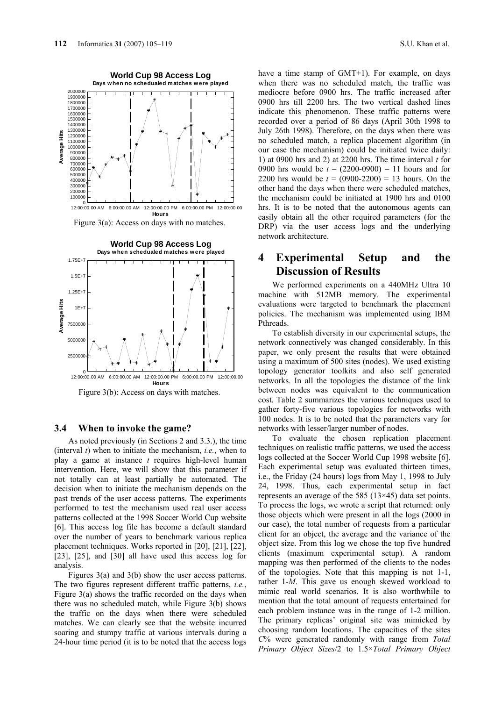**Average Hits**

Average Hits







# **3.4 When to invoke the game?**

As noted previously (in Sections 2 and 3.3.), the time (interval *t*) when to initiate the mechanism, *i.e.*, when to play a game at instance *t* requires high-level human intervention. Here, we will show that this parameter if not totally can at least partially be automated. The decision when to initiate the mechanism depends on the past trends of the user access patterns. The experiments performed to test the mechanism used real user access patterns collected at the 1998 Soccer World Cup website [6]. This access log file has become a default standard over the number of years to benchmark various replica placement techniques. Works reported in [20], [21], [22], [23], [25], and [30] all have used this access log for analysis.

Figures 3(a) and 3(b) show the user access patterns. The two figures represent different traffic patterns, *i.e.*, Figure  $3(a)$  shows the traffic recorded on the days when there was no scheduled match, while Figure 3(b) shows the traffic on the days when there were scheduled matches. We can clearly see that the website incurred soaring and stumpy traffic at various intervals during a 24-hour time period (it is to be noted that the access logs

have a time stamp of GMT+1). For example, on days when there was no scheduled match, the traffic was mediocre before 0900 hrs. The traffic increased after 0900 hrs till 2200 hrs. The two vertical dashed lines indicate this phenomenon. These traffic patterns were recorded over a period of 86 days (April 30th 1998 to July 26th 1998). Therefore, on the days when there was no scheduled match, a replica placement algorithm (in our case the mechanism) could be initiated twice daily: 1) at 0900 hrs and 2) at 2200 hrs. The time interval *t* for 0900 hrs would be  $t = (2200-0900) = 11$  hours and for 2200 hrs would be  $t = (0900-2200) = 13$  hours. On the other hand the days when there were scheduled matches, the mechanism could be initiated at 1900 hrs and 0100 hrs. It is to be noted that the autonomous agents can easily obtain all the other required parameters (for the DRP) via the user access logs and the underlying network architecture.

# **4 Experimental Setup and the Discussion of Results**

We performed experiments on a 440MHz Ultra 10 machine with 512MB memory. The experimental evaluations were targeted to benchmark the placement policies. The mechanism was implemented using IBM Pthreads.

To establish diversity in our experimental setups, the network connectively was changed considerably. In this paper, we only present the results that were obtained using a maximum of 500 sites (nodes). We used existing topology generator toolkits and also self generated networks. In all the topologies the distance of the link between nodes was equivalent to the communication cost. Table 2 summarizes the various techniques used to gather forty-five various topologies for networks with 100 nodes. It is to be noted that the parameters vary for networks with lesser/larger number of nodes.

To evaluate the chosen replication placement techniques on realistic traffic patterns, we used the access logs collected at the Soccer World Cup 1998 website [6]. Each experimental setup was evaluated thirteen times, i.e., the Friday (24 hours) logs from May 1, 1998 to July 24, 1998. Thus, each experimental setup in fact represents an average of the 585 (13×45) data set points. To process the logs, we wrote a script that returned: only those objects which were present in all the logs (2000 in our case), the total number of requests from a particular client for an object, the average and the variance of the object size. From this log we chose the top five hundred clients (maximum experimental setup). A random mapping was then performed of the clients to the nodes of the topologies. Note that this mapping is not 1-1, rather 1-*M*. This gave us enough skewed workload to mimic real world scenarios. It is also worthwhile to mention that the total amount of requests entertained for each problem instance was in the range of 1-2 million. The primary replicas' original site was mimicked by choosing random locations. The capacities of the sites *C*% were generated randomly with range from *Total Primary Object Sizes*/2 to 1.5×*Total Primary Object*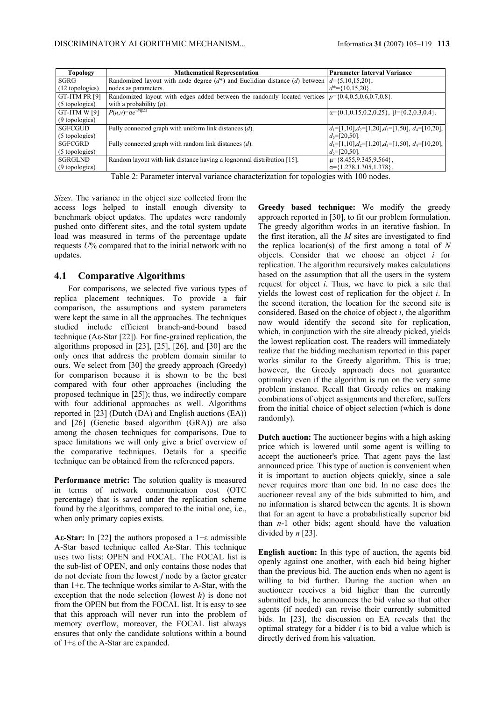| <b>Topology</b> | <b>Mathematical Representation</b>                                                                           | <b>Parameter Interval Variance</b>                              |
|-----------------|--------------------------------------------------------------------------------------------------------------|-----------------------------------------------------------------|
| SGRG            | Randomized layout with node degree $(d^*)$ and Euclidian distance $(d)$ between $d = \{5, 10, 15, 20\}$ ,    |                                                                 |
| (12 topologies) | nodes as parameters.                                                                                         | $d^* = \{10, 15, 20\}$ .                                        |
| GT-ITM PR [9]   | Randomized layout with edges added between the randomly located vertices $p = \{0.4, 0.5, 0.6, 0.7, 0.8\}$ . |                                                                 |
| (5 topologies)  | with a probability $(p)$ .                                                                                   |                                                                 |
| GT-ITM W [9]    | $P(u,v)=\alpha e^{-d/(\beta L)}$                                                                             | $\alpha = \{0.1, 0.15, 0.2, 0.25\}, \beta = \{0.2, 0.3, 0.4\}.$ |
| (9 topologies)  |                                                                                                              |                                                                 |
| SGFCGUD         | Fully connected graph with uniform link distances $(d)$ .                                                    | $d_1=[1,10]$ , $d_2=[1,20]$ , $d_3=[1,50]$ , $d_4=[10,20]$ ,    |
| (5 topologies)  |                                                                                                              | $d_5 = [20, 50]$ .                                              |
| SGFCGRD         | Fully connected graph with random link distances $(d)$ .                                                     | $d_1=[1,10], d_2=[1,20], d_3=[1,50], d_4=[10,20],$              |
| (5 topologies)  |                                                                                                              | $d_5 = [20, 50]$ .                                              |
| SGRGLND         | Random layout with link distance having a lognormal distribution [15].                                       | $\mu = \{8.455, 9.345, 9.564\},\$                               |
| (9 topologies)  |                                                                                                              | $\sigma = \{1.278, 1.305, 1.378\}.$                             |

Table 2: Parameter interval variance characterization for topologies with 100 nodes.

*Sizes*. The variance in the object size collected from the access logs helped to install enough diversity to benchmark object updates. The updates were randomly pushed onto different sites, and the total system update load was measured in terms of the percentage update requests *U*% compared that to the initial network with no updates.

# **4.1 Comparative Algorithms**

For comparisons, we selected five various types of replica placement techniques. To provide a fair comparison, the assumptions and system parameters were kept the same in all the approaches. The techniques studied include efficient branch-and-bound based technique (Aε-Star [22]). For fine-grained replication, the algorithms proposed in [23], [25], [26], and [30] are the only ones that address the problem domain similar to ours. We select from [30] the greedy approach (Greedy) for comparison because it is shown to be the best compared with four other approaches (including the proposed technique in [25]); thus, we indirectly compare with four additional approaches as well. Algorithms reported in [23] (Dutch (DA) and English auctions (EA)) and [26] (Genetic based algorithm (GRA)) are also among the chosen techniques for comparisons. Due to space limitations we will only give a brief overview of the comparative techniques. Details for a specific technique can be obtained from the referenced papers.

**Performance metric:** The solution quality is measured in terms of network communication cost (OTC percentage) that is saved under the replication scheme found by the algorithms, compared to the initial one, i.e., when only primary copies exists.

**Aε-Star:** In [22] the authors proposed a 1+ε admissible A-Star based technique called Aε-Star. This technique uses two lists: OPEN and FOCAL. The FOCAL list is the sub-list of OPEN, and only contains those nodes that do not deviate from the lowest *f* node by a factor greater than 1+ε. The technique works similar to A-Star, with the exception that the node selection (lowest *h*) is done not from the OPEN but from the FOCAL list. It is easy to see that this approach will never run into the problem of memory overflow, moreover, the FOCAL list always ensures that only the candidate solutions within a bound of 1+ε of the A-Star are expanded.

**Greedy based technique:** We modify the greedy approach reported in [30], to fit our problem formulation. The greedy algorithm works in an iterative fashion. In the first iteration, all the *M* sites are investigated to find the replica location(s) of the first among a total of *N* objects. Consider that we choose an object *i* for replication. The algorithm recursively makes calculations based on the assumption that all the users in the system request for object *i*. Thus, we have to pick a site that yields the lowest cost of replication for the object *i*. In the second iteration, the location for the second site is considered. Based on the choice of object *i*, the algorithm now would identify the second site for replication, which, in conjunction with the site already picked, yields the lowest replication cost. The readers will immediately realize that the bidding mechanism reported in this paper works similar to the Greedy algorithm. This is true; however, the Greedy approach does not guarantee optimality even if the algorithm is run on the very same problem instance. Recall that Greedy relies on making combinations of object assignments and therefore, suffers from the initial choice of object selection (which is done randomly).

**Dutch auction:** The auctioneer begins with a high asking price which is lowered until some agent is willing to accept the auctioneer's price. That agent pays the last announced price. This type of auction is convenient when it is important to auction objects quickly, since a sale never requires more than one bid. In no case does the auctioneer reveal any of the bids submitted to him, and no information is shared between the agents. It is shown that for an agent to have a probabilistically superior bid than *n*-1 other bids; agent should have the valuation divided by *n* [23].

**English auction:** In this type of auction, the agents bid openly against one another, with each bid being higher than the previous bid. The auction ends when no agent is willing to bid further. During the auction when an auctioneer receives a bid higher than the currently submitted bids, he announces the bid value so that other agents (if needed) can revise their currently submitted bids. In [23], the discussion on EA reveals that the optimal strategy for a bidder *i* is to bid a value which is directly derived from his valuation.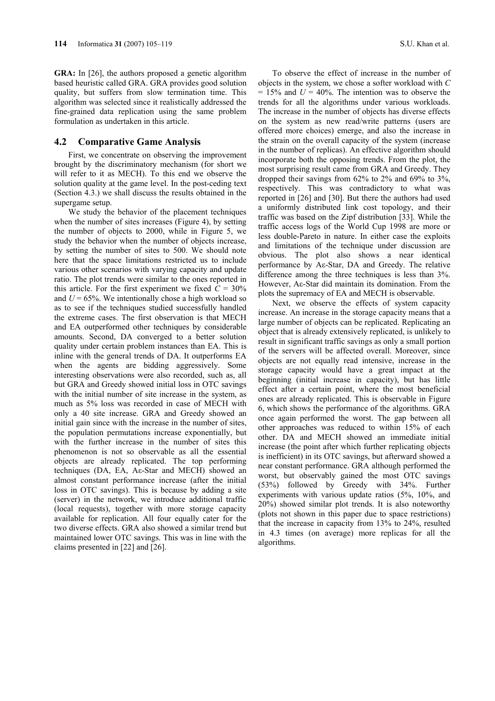**GRA:** In [26], the authors proposed a genetic algorithm based heuristic called GRA. GRA provides good solution quality, but suffers from slow termination time. This algorithm was selected since it realistically addressed the fine-grained data replication using the same problem formulation as undertaken in this article.

#### **4.2 Comparative Game Analysis**

First, we concentrate on observing the improvement brought by the discriminatory mechanism (for short we will refer to it as MECH). To this end we observe the solution quality at the game level. In the post-ceding text (Section 4.3.) we shall discuss the results obtained in the supergame setup.

We study the behavior of the placement techniques when the number of sites increases (Figure 4), by setting the number of objects to 2000, while in Figure 5, we study the behavior when the number of objects increase, by setting the number of sites to 500. We should note here that the space limitations restricted us to include various other scenarios with varying capacity and update ratio. The plot trends were similar to the ones reported in this article. For the first experiment we fixed  $C = 30\%$ and  $U = 65\%$ . We intentionally chose a high workload so as to see if the techniques studied successfully handled the extreme cases. The first observation is that MECH and EA outperformed other techniques by considerable amounts. Second, DA converged to a better solution quality under certain problem instances than EA. This is inline with the general trends of DA. It outperforms EA when the agents are bidding aggressively. Some interesting observations were also recorded, such as, all but GRA and Greedy showed initial loss in OTC savings with the initial number of site increase in the system, as much as 5% loss was recorded in case of MECH with only a 40 site increase. GRA and Greedy showed an initial gain since with the increase in the number of sites, the population permutations increase exponentially, but with the further increase in the number of sites this phenomenon is not so observable as all the essential objects are already replicated. The top performing techniques (DA, EA, Aε-Star and MECH) showed an almost constant performance increase (after the initial loss in OTC savings). This is because by adding a site (server) in the network, we introduce additional traffic (local requests), together with more storage capacity available for replication. All four equally cater for the two diverse effects. GRA also showed a similar trend but maintained lower OTC savings. This was in line with the claims presented in [22] and [26].

To observe the effect of increase in the number of objects in the system, we chose a softer workload with *C*  $= 15\%$  and  $U = 40\%$ . The intention was to observe the trends for all the algorithms under various workloads. The increase in the number of objects has diverse effects on the system as new read/write patterns (users are offered more choices) emerge, and also the increase in the strain on the overall capacity of the system (increase in the number of replicas). An effective algorithm should incorporate both the opposing trends. From the plot, the most surprising result came from GRA and Greedy. They dropped their savings from 62% to 2% and 69% to 3%, respectively. This was contradictory to what was reported in [26] and [30]. But there the authors had used a uniformly distributed link cost topology, and their traffic was based on the Zipf distribution [33]. While the traffic access logs of the World Cup 1998 are more or less double-Pareto in nature. In either case the exploits and limitations of the technique under discussion are obvious. The plot also shows a near identical performance by Aε-Star, DA and Greedy. The relative difference among the three techniques is less than 3%. However, Aε-Star did maintain its domination. From the plots the supremacy of EA and MECH is observable.

Next, we observe the effects of system capacity increase. An increase in the storage capacity means that a large number of objects can be replicated. Replicating an object that is already extensively replicated, is unlikely to result in significant traffic savings as only a small portion of the servers will be affected overall. Moreover, since objects are not equally read intensive, increase in the storage capacity would have a great impact at the beginning (initial increase in capacity), but has little effect after a certain point, where the most beneficial ones are already replicated. This is observable in Figure 6, which shows the performance of the algorithms. GRA once again performed the worst. The gap between all other approaches was reduced to within 15% of each other. DA and MECH showed an immediate initial increase (the point after which further replicating objects is inefficient) in its OTC savings, but afterward showed a near constant performance. GRA although performed the worst, but observably gained the most OTC savings (53%) followed by Greedy with 34%. Further experiments with various update ratios (5%, 10%, and 20%) showed similar plot trends. It is also noteworthy (plots not shown in this paper due to space restrictions) that the increase in capacity from 13% to 24%, resulted in 4.3 times (on average) more replicas for all the algorithms.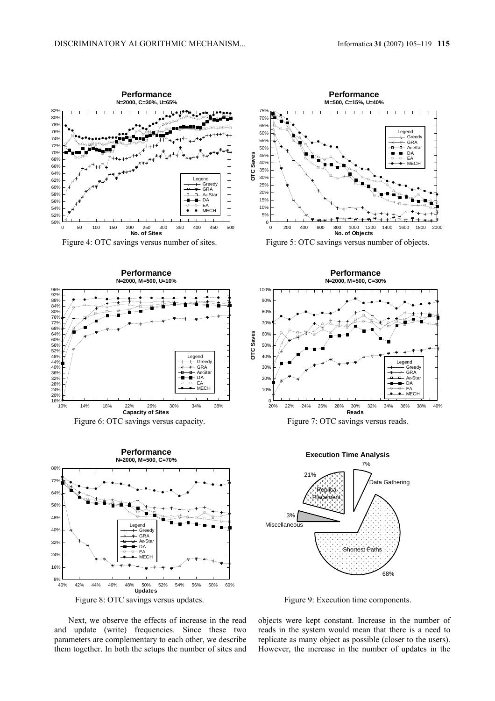

Figure 8: OTC savings versus updates. Figure 9: Execution time components.

Next, we observe the effects of increase in the read and update (write) frequencies. Since these two parameters are complementary to each other, we describe them together. In both the setups the number of sites and objects were kept constant. Increase in the number of reads in the system would mean that there is a need to replicate as many object as possible (closer to the users). However, the increase in the number of updates in the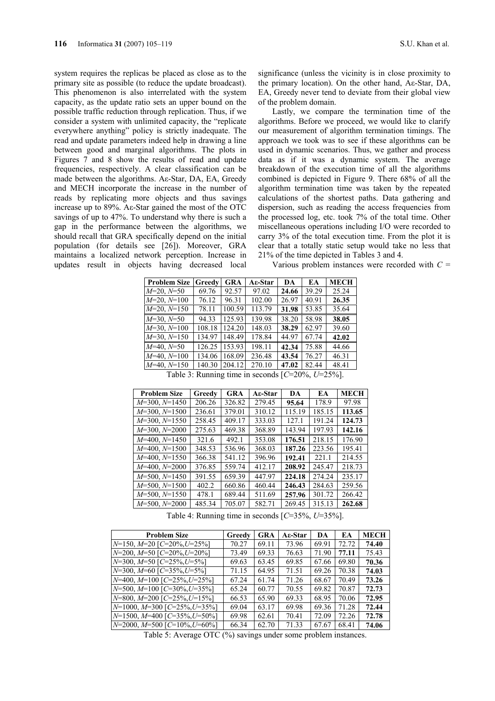system requires the replicas be placed as close as to the primary site as possible (to reduce the update broadcast). This phenomenon is also interrelated with the system capacity, as the update ratio sets an upper bound on the possible traffic reduction through replication. Thus, if we consider a system with unlimited capacity, the "replicate everywhere anything" policy is strictly inadequate. The read and update parameters indeed help in drawing a line between good and marginal algorithms. The plots in Figures 7 and 8 show the results of read and update frequencies, respectively. A clear classification can be made between the algorithms. Aε-Star, DA, EA, Greedy and MECH incorporate the increase in the number of reads by replicating more objects and thus savings increase up to 89%. Aε-Star gained the most of the OTC savings of up to 47%. To understand why there is such a gap in the performance between the algorithms, we should recall that GRA specifically depend on the initial population (for details see [26]). Moreover, GRA maintains a localized network perception. Increase in updates result in objects having decreased local

significance (unless the vicinity is in close proximity to the primary location). On the other hand, Aε-Star, DA, EA, Greedy never tend to deviate from their global view of the problem domain.

Lastly, we compare the termination time of the algorithms. Before we proceed, we would like to clarify our measurement of algorithm termination timings. The approach we took was to see if these algorithms can be used in dynamic scenarios. Thus, we gather and process data as if it was a dynamic system. The average breakdown of the execution time of all the algorithms combined is depicted in Figure 9. There 68% of all the algorithm termination time was taken by the repeated calculations of the shortest paths. Data gathering and dispersion, such as reading the access frequencies from the processed log, etc. took 7% of the total time. Other miscellaneous operations including I/O were recorded to carry 3% of the total execution time. From the plot it is clear that a totally static setup would take no less that 21% of the time depicted in Tables 3 and 4.

Various problem instances were recorded with  $C =$ 

| <b>Problem Size</b> | Greedy | <b>GRA</b> | Aε-Star | DA    | EA    | <b>MECH</b> |
|---------------------|--------|------------|---------|-------|-------|-------------|
| $M=20, N=50$        | 69.76  | 92.57      | 97.02   | 24.66 | 39.29 | 25.24       |
| $M=20, N=100$       | 76.12  | 96.31      | 102.00  | 26.97 | 40.91 | 26.35       |
| $M=20, N=150$       | 78.11  | 100.59     | 113.79  | 31.98 | 53.85 | 35.64       |
| $M=30, N=50$        | 94.33  | 125.93     | 139.98  | 38.20 | 58.98 | 38.05       |
| $M=30, N=100$       | 108.18 | 124.20     | 148.03  | 38.29 | 62.97 | 39.60       |
| $M=30, N=150$       | 134.97 | 148.49     | 178.84  | 44.97 | 67.74 | 42.02       |
| $M=40, N=50$        | 126.25 | 153.93     | 198.11  | 42.34 | 75.88 | 44.66       |
| $M=40, N=100$       | 134.06 | 168.09     | 236.48  | 43.54 | 76.27 | 46.31       |
| $M=40, N=150$       | 140.30 | 204.12     | 270.10  | 47.02 | 82.44 | 48.41       |

Table 3: Running time in seconds [*C*=20%, *U*=25%].

| <b>Problem Size</b>    | Greedy | GRA    | Aε-Star | DA     | EA     | <b>MECH</b> |
|------------------------|--------|--------|---------|--------|--------|-------------|
| $M=300, N=1450$        | 206.26 | 326.82 | 279.45  | 95.64  | 178.9  | 97.98       |
| $M=300, N=1500$        | 236.61 | 379.01 | 310.12  | 115.19 | 185.15 | 113.65      |
| $M=300, N=1550$        | 258.45 | 409.17 | 333.03  | 127.1  | 191.24 | 124.73      |
| $M=300, N=2000$        | 275.63 | 469.38 | 368.89  | 143.94 | 197.93 | 142.16      |
| $M=400$ , $N=1450$     | 321.6  | 492.1  | 353.08  | 176.51 | 218.15 | 176.90      |
| $M=400$ , $N=1500$     | 348.53 | 536.96 | 368.03  | 187.26 | 223.56 | 195.41      |
| $M=400, N=1550$        | 366.38 | 541.12 | 396.96  | 192.41 | 221.1  | 214.55      |
| $M=400, N=2000$        | 376.85 | 559.74 | 412.17  | 208.92 | 245.47 | 218.73      |
| $M=500, N=1450$        | 391.55 | 659.39 | 447.97  | 224.18 | 274.24 | 235.17      |
| $M = 500$ , $N = 1500$ | 402.2  | 660.86 | 460.44  | 246.43 | 284.63 | 259.56      |
| $M=500, N=1550$        | 478.1  | 689.44 | 511.69  | 257.96 | 301.72 | 266.42      |
| $M = 500$ , $N = 2000$ | 485.34 | 705.07 | 582.71  | 269.45 | 315.13 | 262.68      |

Table 4: Running time in seconds [*C*=35%, *U*=35%].

| <b>Problem Size</b>                   | Greedy | <b>GRA</b> | Aε-Star | DA    | EA    | <b>MECH</b> |
|---------------------------------------|--------|------------|---------|-------|-------|-------------|
| $N=150$ , $M=20$ [C=20%, U=25%]       | 70.27  | 69.11      | 73.96   | 69.91 | 72.72 | 74.40       |
| $N=200, M=50$ [C=20%, U=20%]          | 73.49  | 69.33      | 76.63   | 71.90 | 77.11 | 75.43       |
| $N=300$ , $M=50$ [C=25%, U=5%]        | 69.63  | 63.45      | 69.85   | 67.66 | 69.80 | 70.36       |
| $N=300$ , $M=60$ [C=35%, U=5%]        | 71.15  | 64.95      | 71.51   | 69.26 | 70.38 | 74.03       |
| $N=400$ , $M=100$ [C=25%, U=25%]      | 67.24  | 61.74      | 71.26   | 68.67 | 70.49 | 73.26       |
| $N=500$ , $M=100$ [C=30%, U=35%]      | 65.24  | 60.77      | 70.55   | 69.82 | 70.87 | 72.73       |
| $N=800$ , $M=200$ [C=25%, U=15%]      | 66.53  | 65.90      | 69.33   | 68.95 | 70.06 | 72.95       |
| $N=1000$ , $M=300$ $[C=25\%, U=35\%]$ | 69.04  | 63.17      | 69.98   | 69.36 | 71.28 | 72.44       |
| $N=1500$ , $M=400$ [C=35%, U=50%]     | 69.98  | 62.61      | 70.41   | 72.09 | 72.26 | 72.78       |
| $N=2000$ , $M=500$ $[C=10\%, U=60\%]$ | 66.34  | 62.70      | 71.33   | 67.67 | 68.41 | 74.06       |

Table 5: Average OTC (%) savings under some problem instances.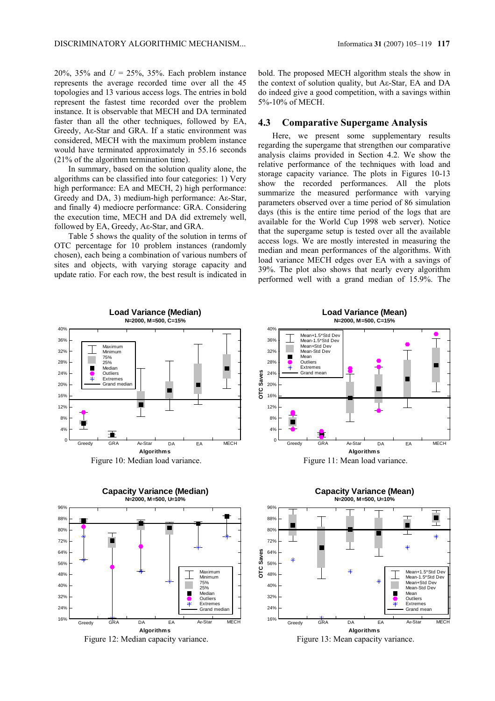20%, 35% and *U* = 25%, 35%. Each problem instance represents the average recorded time over all the 45 topologies and 13 various access logs. The entries in bold represent the fastest time recorded over the problem instance. It is observable that MECH and DA terminated faster than all the other techniques, followed by EA, Greedy, Aε-Star and GRA. If a static environment was considered, MECH with the maximum problem instance would have terminated approximately in 55.16 seconds (21% of the algorithm termination time).

In summary, based on the solution quality alone, the algorithms can be classified into four categories: 1) Very high performance: EA and MECH, 2) high performance: Greedy and DA, 3) medium-high performance: Aε-Star, and finally 4) mediocre performance: GRA. Considering the execution time, MECH and DA did extremely well, followed by EA, Greedy, Aε-Star, and GRA.

Table 5 shows the quality of the solution in terms of OTC percentage for 10 problem instances (randomly chosen), each being a combination of various numbers of sites and objects, with varying storage capacity and update ratio. For each row, the best result is indicated in bold. The proposed MECH algorithm steals the show in the context of solution quality, but Aε-Star, EA and DA do indeed give a good competition, with a savings within 5%-10% of MECH.

#### **4.3 Comparative Supergame Analysis**

Here, we present some supplementary results regarding the supergame that strengthen our comparative analysis claims provided in Section 4.2. We show the relative performance of the techniques with load and storage capacity variance. The plots in Figures 10-13 show the recorded performances. All the plots summarize the measured performance with varying parameters observed over a time period of 86 simulation days (this is the entire time period of the logs that are available for the World Cup 1998 web server). Notice that the supergame setup is tested over all the available access logs. We are mostly interested in measuring the median and mean performances of the algorithms. With load variance MECH edges over EA with a savings of 39%. The plot also shows that nearly every algorithm performed well with a grand median of 15.9%. The



Figure 12: Median capacity variance. Figure 13: Mean capacity variance.

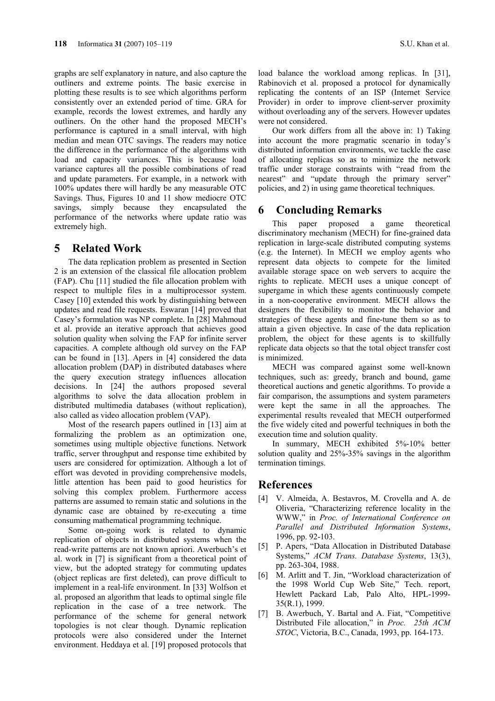graphs are self explanatory in nature, and also capture the outliners and extreme points. The basic exercise in plotting these results is to see which algorithms perform consistently over an extended period of time. GRA for example, records the lowest extremes, and hardly any outliners. On the other hand the proposed MECH's performance is captured in a small interval, with high median and mean OTC savings. The readers may notice the difference in the performance of the algorithms with load and capacity variances. This is because load variance captures all the possible combinations of read and update parameters. For example, in a network with 100% updates there will hardly be any measurable OTC Savings. Thus, Figures 10 and 11 show mediocre OTC savings, simply because they encapsulated the performance of the networks where update ratio was extremely high.

# **5 Related Work**

The data replication problem as presented in Section 2 is an extension of the classical file allocation problem (FAP). Chu [11] studied the file allocation problem with respect to multiple files in a multiprocessor system. Casey [10] extended this work by distinguishing between updates and read file requests. Eswaran [14] proved that Casey's formulation was NP complete. In [28] Mahmoud et al. provide an iterative approach that achieves good solution quality when solving the FAP for infinite server capacities. A complete although old survey on the FAP can be found in [13]. Apers in [4] considered the data allocation problem (DAP) in distributed databases where the query execution strategy influences allocation decisions. In [24] the authors proposed several algorithms to solve the data allocation problem in distributed multimedia databases (without replication), also called as video allocation problem (VAP).

Most of the research papers outlined in [13] aim at formalizing the problem as an optimization one, sometimes using multiple objective functions. Network traffic, server throughput and response time exhibited by users are considered for optimization. Although a lot of effort was devoted in providing comprehensive models, little attention has been paid to good heuristics for solving this complex problem. Furthermore access patterns are assumed to remain static and solutions in the dynamic case are obtained by re-executing a time consuming mathematical programming technique.

Some on-going work is related to dynamic replication of objects in distributed systems when the read-write patterns are not known apriori. Awerbuch's et al. work in [7] is significant from a theoretical point of view, but the adopted strategy for commuting updates (object replicas are first deleted), can prove difficult to implement in a real-life environment. In [33] Wolfson et al. proposed an algorithm that leads to optimal single file replication in the case of a tree network. The performance of the scheme for general network topologies is not clear though. Dynamic replication protocols were also considered under the Internet environment. Heddaya et al. [19] proposed protocols that

load balance the workload among replicas. In [31], Rabinovich et al. proposed a protocol for dynamically replicating the contents of an ISP (Internet Service Provider) in order to improve client-server proximity without overloading any of the servers. However updates were not considered.

Our work differs from all the above in: 1) Taking into account the more pragmatic scenario in today's distributed information environments, we tackle the case of allocating replicas so as to minimize the network traffic under storage constraints with "read from the nearest" and "update through the primary server" policies, and 2) in using game theoretical techniques.

# **6 Concluding Remarks**

This paper proposed a game theoretical discriminatory mechanism (MECH) for fine-grained data replication in large-scale distributed computing systems (e.g. the Internet). In MECH we employ agents who represent data objects to compete for the limited available storage space on web servers to acquire the rights to replicate. MECH uses a unique concept of supergame in which these agents continuously compete in a non-cooperative environment. MECH allows the designers the flexibility to monitor the behavior and strategies of these agents and fine-tune them so as to attain a given objective. In case of the data replication problem, the object for these agents is to skillfully replicate data objects so that the total object transfer cost is minimized.

MECH was compared against some well-known techniques, such as: greedy, branch and bound, game theoretical auctions and genetic algorithms. To provide a fair comparison, the assumptions and system parameters were kept the same in all the approaches. The experimental results revealed that MECH outperformed the five widely cited and powerful techniques in both the execution time and solution quality.

In summary, MECH exhibited 5%-10% better solution quality and 25%-35% savings in the algorithm termination timings.

# **References**

- [4] V. Almeida, A. Bestavros, M. Crovella and A. de Oliveria, "Characterizing reference locality in the WWW," in *Proc. of International Conference on Parallel and Distributed Information Systems*, 1996, pp. 92-103.
- [5] P. Apers, "Data Allocation in Distributed Database Systems," *ACM Trans. Database Systems*, 13(3), pp. 263-304, 1988.
- [6] M. Arlitt and T. Jin, "Workload characterization of the 1998 World Cup Web Site," Tech. report, Hewlett Packard Lab, Palo Alto, HPL-1999- 35(R.1), 1999.
- [7] B. Awerbuch, Y. Bartal and A. Fiat, "Competitive Distributed File allocation," in *Proc. 25th ACM STOC*, Victoria, B.C., Canada, 1993, pp. 164-173.